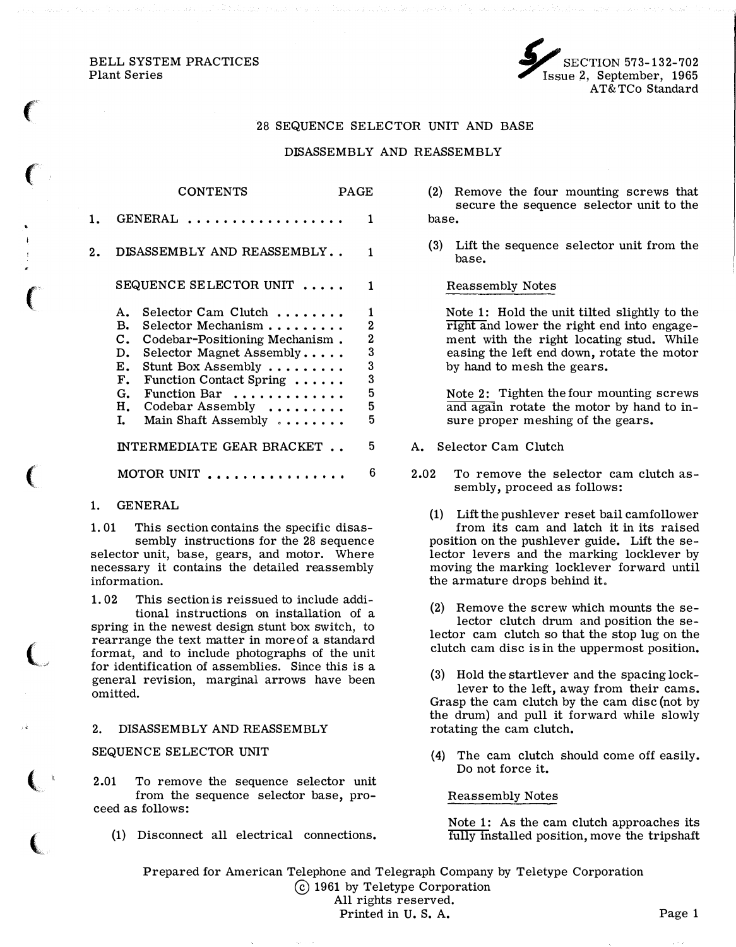BELL SYSTEM PRACTICES Plant Series

 $\big($ 

 $\big($ 

 $\overline{C}$ 

 $\Big($ 

 $\overline{\mathbb{C}}$ 

 $\big($ 



### 28 SEQUENCE SELECTOR UNIT AND BASE

## DISASSEMBLY AND REASSEMBLY

|    | <b>CONTENTS</b>                                                                                                                                                                                                                                                                                                                                            | PAGE |                                                                  |
|----|------------------------------------------------------------------------------------------------------------------------------------------------------------------------------------------------------------------------------------------------------------------------------------------------------------------------------------------------------------|------|------------------------------------------------------------------|
| 1. | GENERAL<br>.                                                                                                                                                                                                                                                                                                                                               |      | 1                                                                |
| 2. | DISASSEMBLY AND REASSEMBLY                                                                                                                                                                                                                                                                                                                                 |      | 1                                                                |
|    | SEQUENCE SELECTOR UNIT                                                                                                                                                                                                                                                                                                                                     |      | 1                                                                |
|    | Selector Cam Clutch<br>Α.<br>в.<br>$\operatorname{\mathsf{Selector}\;}\operatorname{\mathsf{Mechanism}}\nolimits \ldots \ldots \ldots$<br>C.<br>Codebar-Positioning Mechanism.<br>Selector Magnet Assembly<br>D.<br>Stunt Box Assembly<br>Е.<br>F.<br>Function Contact Spring<br>G.<br>Function Bar<br>н.<br>Codebar Assembly<br>L.<br>Main Shaft Assembly |      | 1<br>$\overline{2}$<br>$\mathbf 2$<br>3<br>3<br>3<br>5<br>5<br>5 |
|    | INTERMEDIATE GEAR BRACKET                                                                                                                                                                                                                                                                                                                                  |      | 5                                                                |
|    | .<br>MOTOR UNIT                                                                                                                                                                                                                                                                                                                                            |      | 6                                                                |

### 1. GENERAL

1. 01 This section contains the specific disassembly instructions for the 28 sequence selector unit, base, gears, and motor. Where necessary it contains the detailed reassembly information.

1. 02 This section is reissued to include additional instructions on installation of a spring in the newest design stunt box switch, to rearrange the text matter in more of a standard format, and to include photographs of the unit for identification of assemblies. Since this is a general revision, marginal arrows have been omitted.

### 2. DISASSEMBLY AND REASSEMBLY

#### SEQUENCE SELECTOR UNIT

2.01 To remove the sequence selector unit from the sequence selector base, proceed as follows:

(1) Disconnect all electrical connections.

- (2) Remove the four mounting screws that secure the sequence selector unit to the base.
- (3) Lift the sequence selector unit from the base.

#### Reassembly Notes

Note 1: Hold the unit tilted slightly to the right and lower the right end into engagement with the right locating stud. While easing the left end down, rotate the motor by hand to mesh the gears.

Note 2: Tighten the four mounting screws and again rotate the motor by hand to insure proper meshing of the gears.

- A. Selector Cam Clutch
- 2.02 To remove the selector cam clutch assembly, proceed as follows:
	- (1) Lift the pushlever reset bail camfollower from its cam and latch it in its raised position on the pushlever guide. Lift the selector levers and the marking locklever by moving the marking locklever forward until the armature drops behind it,
	- (2) Remove the screw which mounts the selector clutch drum and position the selector cam clutch so that the stop lug on the clutch cam disc is in the uppermost position.
	- (3) Hold the startlever and the spacing locklever to the left, away from their cams. Grasp the cam clutch by the cam disc (not by the drum) and pull it forward while slowly rotating the cam clutch.
	- (4) The cam clutch should come off easily. Do not force it.

#### Reassembly Notes

Note 1: As the cam clutch approaches its fully installed position, move the tripshaft

Prepared for American Telephone and Telegraph Company by Teletype Corporation @) 1961 by Teletype Corporation All rights reserved. Printed in U.S. A. Page 1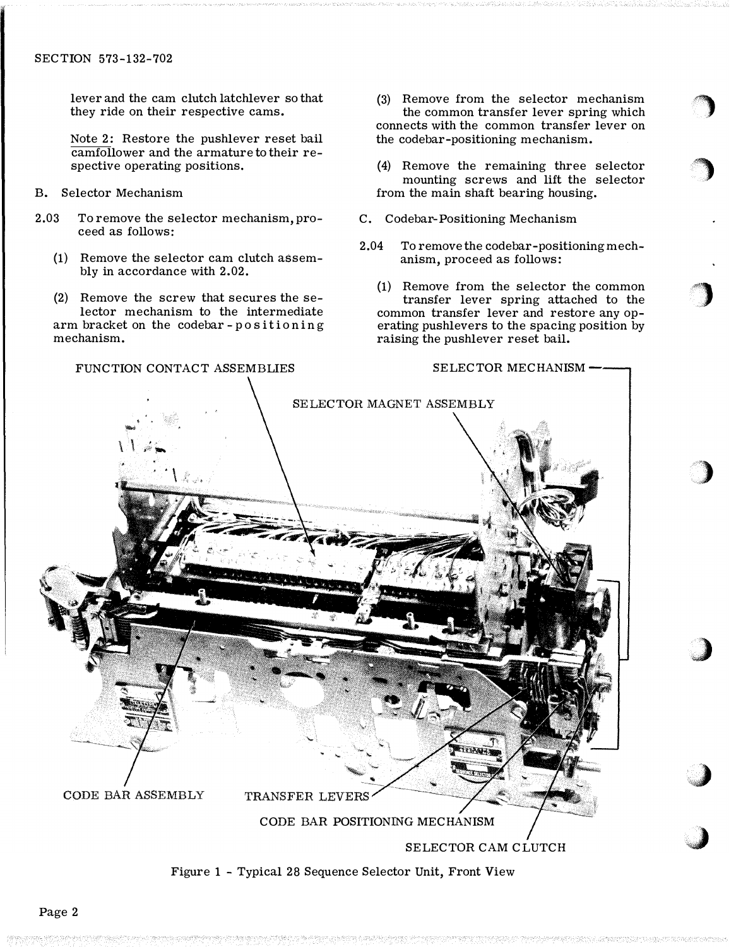lever and the cam clutch latchlever so that they ride on their respective cams.

Note 2: Restore the pushlever reset bail camfollower and the armature to their respective operating positions.

- B. Selector Mechanism
- 2.03 To remove the selector mechanism, proceed as follows:
	- (1) Remove the selector cam clutch assembly in accordance with 2.02.

(2) Remove the screw that secures the selector mechanism to the intermediate arm bracket on the codebar- positioning mechanism.

(3) Remove from the selector mechanism the common transfer lever spring which connects with the common transfer lever on the codebar-positioning mechanism.

·�

'�

 $\bigcup$ 

 $\big)$ 

j

,)

,J

( 4) Remove the remaining three selector mounting screws and lift the selector from the main shaft bearing housing.

- C. Codebar-Positioning Mechanism
- 2.04 To remove the codebar-positioning mechanism, proceed as follows:

(1) Remove from the selector the common transfer lever spring attached to the common transfer lever and restore any operating pushlevers to the spacing position by raising the pushlever reset bail.



Figure 1 - Typical 28 Sequence Selector Unit, Front View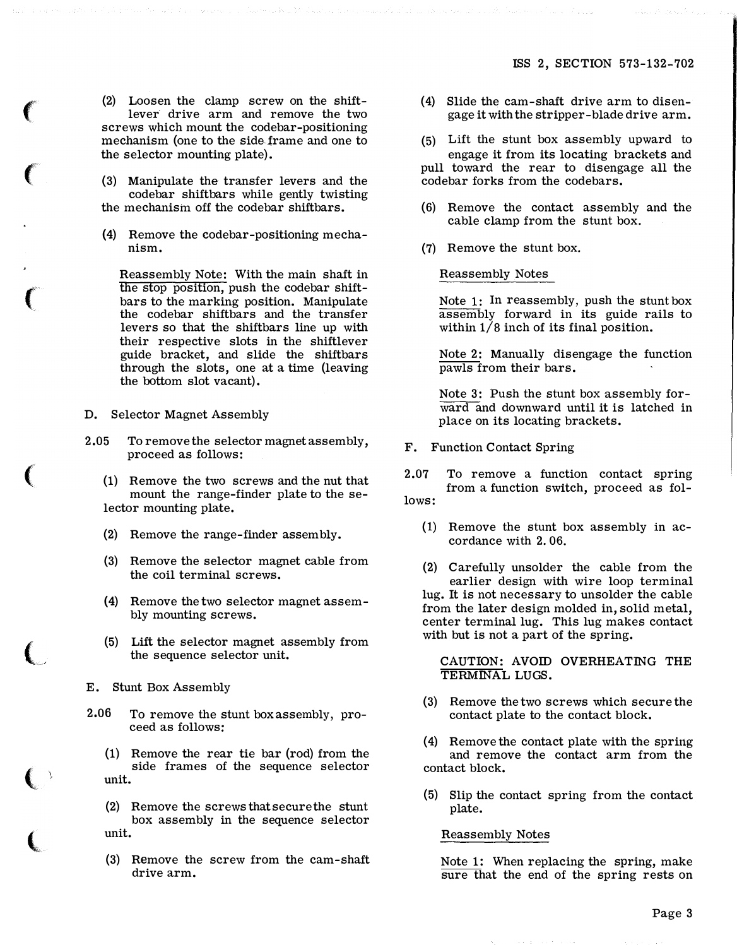(2) Loosen the clamp screw on the shiftlever drive arm and remove the two screws which mount the codebar-positioning mechanism (one to the side-frame and one to the selector mounting plate).

(3) Manipulate the transfer levers and the codebar shiftbars while gently twisting the mechanism off the codebar shiftbars.

(4) Remove the codebar-positioning mechanism.

Reassembly Note: With the main shaft in the stop position, push the codebar shiftbars to the marking position. Manipulate the codebar shiftbars and the transfer levers so that the shiftbars line up with their respective slots in the shiftlever guide bracket, and slide the shiftbars through the slots, one at a time (leaving the bottom slot vacant).

D. Selector Magnet Assembly

 $\big($ 

 $\big($ 

 $\big($ 

 $\big($ 

,

 $\big($ 

(

2.05 To remove the selector magnet assembly, proceed as follows:

(1) Remove the two screws and the nut that mount the range-finder plate to the selector mounting plate.

- (2) Remove the range-finder assembly.
- (3) Remove the selector magnet cable from the coil terminal screws.
- (4) Remove the two selector magnet assembly mounting screws.
- (5) Lift the selector magnet assembly from the sequence selector unit.
- E. Stunt Box Assembly
- 2.06 To remove the stunt boxassembly, proceed as follows:
	- (1) Remove the rear tie bar (rod) from the side frames of the sequence selector unit.
	- (2) Remove the screws that secure the stunt box assembly in the sequence selector unit.
	- (3) Remove the screw from the cam-shaft drive arm.
- (4) Slide the cam-shaft drive arm to disengage it with the stripper-blade drive arm.
- (5) Lift the stunt box assembly upward to engage it from its locating brackets and pull toward the rear to disengage all the codebar forks from the codebars.
- (6) Remove the contact assembly and the cable clamp from the stunt box.
- (7) Remove the stunt box.

Reassembly Notes

Note 1: In reassembly, push the stunt box assembly forward in its guide rails to within  $1/8$  inch of its final position.

Note 2: Manually disengage the function pawls from their bars.

Note 3: Push the stunt box assembly forward and downward until it is latched in place on its locating brackets.

F. Function Contact Spring

2.07 To remove a function contact spring from a function switch, proceed as follows:

(1) Remove the stunt box assembly in accordance with 2. 06.

(2) Carefully unsolder the cable from the earlier design with wire loop terminal lug. It is not necessary to unsolder the cable from the later design molded in, solid metal, center terminal lug. This lug makes contact with but is not a part of the spring.

CAUTION: AVOID OVERHEATING THE TERMINAL LUGS.

- (3) Remove the two screws which secure the contact plate to the contact block.
- Remove the contact plate with the spring and remove the contact arm from the contact block.
- (5) Slip the contact spring from the contact plate.

### Reassembly Notes

Note 1: When replacing the spring, make sure that the end of the spring rests on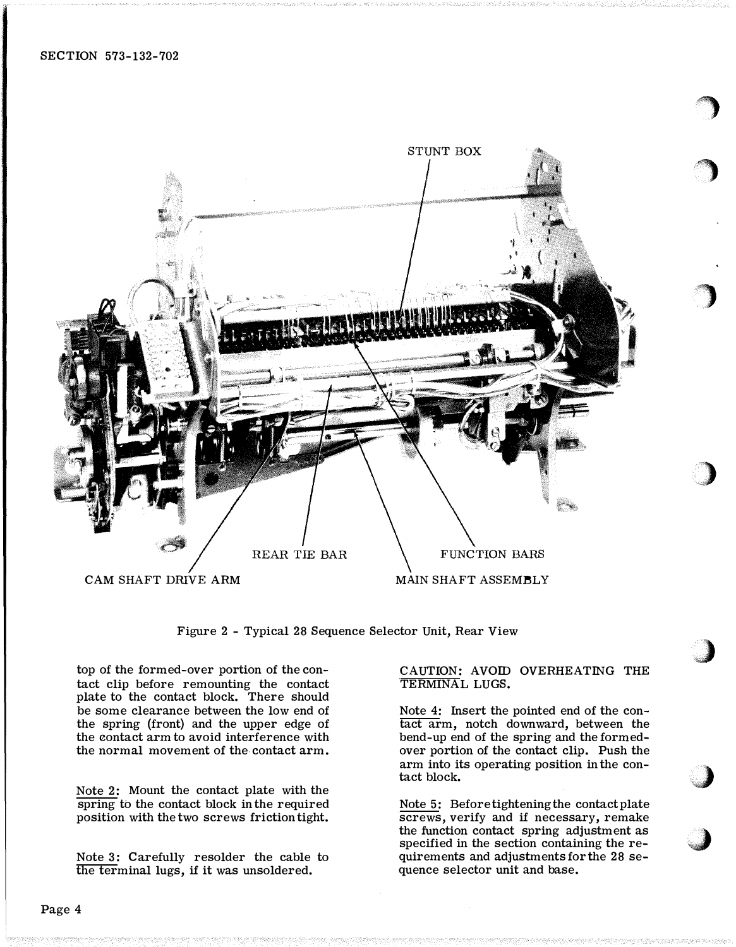

Figure 2 - Typical 28 Sequence Selector Unit, Rear View

top of the formed-over portion of the contact clip before remounting the contact plate to the contact block. There should be some clearance between the low end of the spring (front) and the upper edge of the contact arm to avoid interference with the normal movement of the contact arm.

Note 2: Mount the contact plate with the spring to the contact block in the required position with the two screws friction tight.

Note 3: Carefully resolder the cable to the terminal lugs, if it was unsoldered.

## CAUTION: AVOID OVERHEATING THE TERMINAL LUGS.

s�

·�

 $\big)$ 

" "A; ').•·

0" **J** 

+)

Note 4: Insert the pointed end of the contact arm, notch downward, between the bend-up end of the spring and the formedover portion of the contact clip. Push the arm into its operating position in the contact block.

Note 5: Before tightening the contact plate screws, verify and if necessary, remake the function contact spring adjustment as specified in the section containing the requirements and adjustments for the 28 sequence selector unit and base.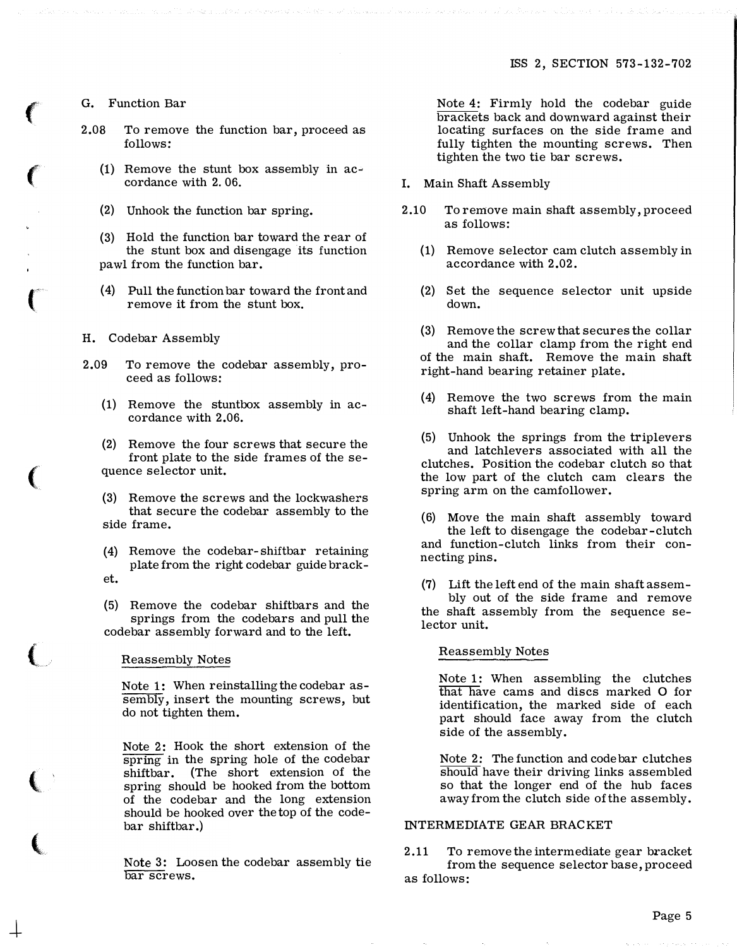G. Function Bar

 $\big($ 

 $\big($ 

 $\left($ 

(

 $\overline{\mathbb{C}}$ 

 $\left(\right.$ 

 $\frac{1}{\sqrt{2}}$ 

- 2.08 To remove the function bar, proceed as follows:
	- (1) Remove the stunt box assembly in accordance with 2. 06.
	- (2) Unhook the function bar spring.
	- (3) Hold the function bar toward the rear of the stunt box and disengage its function pawl from the function bar.
	- ( 4) Pull the function bar toward the front and remove it from the stunt box.
- H. Codebar Assembly
- 2.09 To remove the codebar assembly, proceed as follows:
	- (1) Remove the stuntbox assembly in accordance with 2.06.
	- (2) Remove the four screws that secure the front plate to the side frames of the sequence selector unit.
	- (3) Remove the screws and the lockwashers that secure the codebar assembly to the side frame.
	- (4) Remove the codebar-shiftbar retaining plate from the right codebar guide bracket.
	- (5) Remove the codebar shiftbars and the springs from the codebars and pull the codebar assembly forward and to the left.

Reassembly Notes

Note 1: When reinstalling the codebar assembly, insert the mounting screws, but do not tighten them.

Note 2: Hook the short extension of the spring in the spring hole of the codebar shiftbar. (The short extension of the spring should be hooked from the bottom of the codebar and the long extension should be hooked over the top of the codebar shiftbar.)

Note 3: Loosen the codebar assembly tie bar screws.

Note 4: Firmly hold the codebar guide brackets back and downward against their locating surfaces on the side frame and fully tighten the mounting screws. Then tighten the two tie bar screws.

- I. Main Shaft Assembly
- 2.10 To remove main shaft assembly, proceed as follows:
	- (1) Remove selector cam clutch assembly in accordance with 2.02.
	- (2) Set the sequence selector unit upside down.
	- (3) Remove the screw that secures the collar and the collar clamp from the right end of the main shaft. Remove the main shaft right-hand bearing retainer plate.
	- ( 4) Remove the two screws from the main shaft left-hand bearing clamp.
	- (5) Unhook the springs from the triplevers and latchlevers associated with all the clutches. Position the codebar clutch so that the low part of the clutch cam clears the spring arm on the camfollower.
	- (6) Move the main shaft assembly toward the left to disengage the codebar-clutch and function-clutch links from their connecting pins.
	- (7) Lift the left end of the main shaft assembly out of the side frame and remove the shaft assembly from the sequence selector unit.

### Reassembly Notes

Note 1: When assembling the clutches that have cams and discs marked 0 for identification, the marked side of each part should face away from the clutch side of the assembly.

Note 2: The function and code bar clutches should have their driving links assembled so that the longer end of the hub faces away from the clutch side of the assembly.

# INTERMEDIATE GEAR BRACKET

2.11 To remove the intermediate gear bracket from the sequence selector base, proceed as follows: